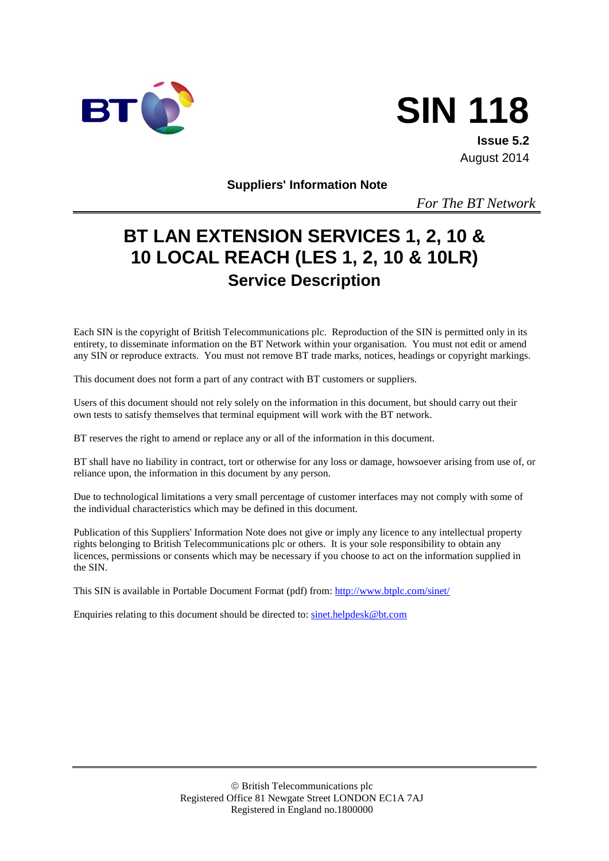



**Issue 5.2** August 2014

**Suppliers' Information Note**

*For The BT Network*

# **BT LAN EXTENSION SERVICES 1, 2, 10 & 10 LOCAL REACH (LES 1, 2, 10 & 10LR) Service Description**

Each SIN is the copyright of British Telecommunications plc. Reproduction of the SIN is permitted only in its entirety, to disseminate information on the BT Network within your organisation. You must not edit or amend any SIN or reproduce extracts. You must not remove BT trade marks, notices, headings or copyright markings.

This document does not form a part of any contract with BT customers or suppliers.

Users of this document should not rely solely on the information in this document, but should carry out their own tests to satisfy themselves that terminal equipment will work with the BT network.

BT reserves the right to amend or replace any or all of the information in this document.

BT shall have no liability in contract, tort or otherwise for any loss or damage, howsoever arising from use of, or reliance upon, the information in this document by any person.

Due to technological limitations a very small percentage of customer interfaces may not comply with some of the individual characteristics which may be defined in this document.

Publication of this Suppliers' Information Note does not give or imply any licence to any intellectual property rights belonging to British Telecommunications plc or others. It is your sole responsibility to obtain any licences, permissions or consents which may be necessary if you choose to act on the information supplied in the SIN.

This SIN is available in Portable Document Format (pdf) from:<http://www.btplc.com/sinet/>

Enquiries relating to this document should be directed to: [sinet.helpdesk@bt.com](mailto:sinet.helpdesk@bt.com)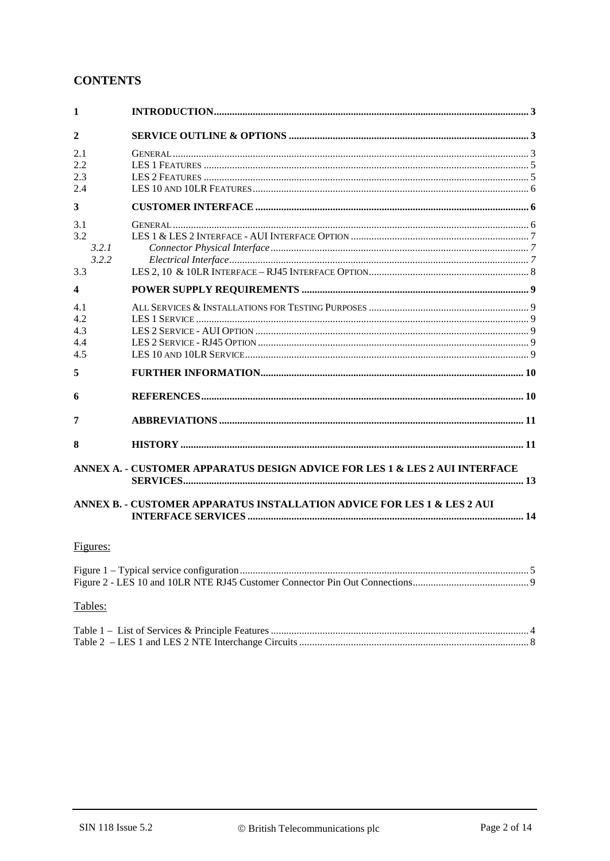# **CONTENTS**

| 1                                   |                                                                             |  |  |
|-------------------------------------|-----------------------------------------------------------------------------|--|--|
| $\mathbf{2}$                        |                                                                             |  |  |
| 2.1<br>2.2<br>2.3<br>2.4            |                                                                             |  |  |
| 3                                   |                                                                             |  |  |
| 3.1<br>3.2<br>3.2.1<br>3.2.2<br>3.3 |                                                                             |  |  |
| 4                                   |                                                                             |  |  |
| 4.1<br>4.2.<br>4.3<br>4.4<br>4.5    |                                                                             |  |  |
| 5                                   |                                                                             |  |  |
| 6                                   |                                                                             |  |  |
| 7                                   |                                                                             |  |  |
| 8                                   |                                                                             |  |  |
|                                     | ANNEX A. - CUSTOMER APPARATUS DESIGN ADVICE FOR LES 1 & LES 2 AUI INTERFACE |  |  |
|                                     | ANNEX B. - CUSTOMER APPARATUS INSTALLATION ADVICE FOR LES 1 & LES 2 AUI     |  |  |
| Figures:                            |                                                                             |  |  |
|                                     |                                                                             |  |  |
| Tables:                             |                                                                             |  |  |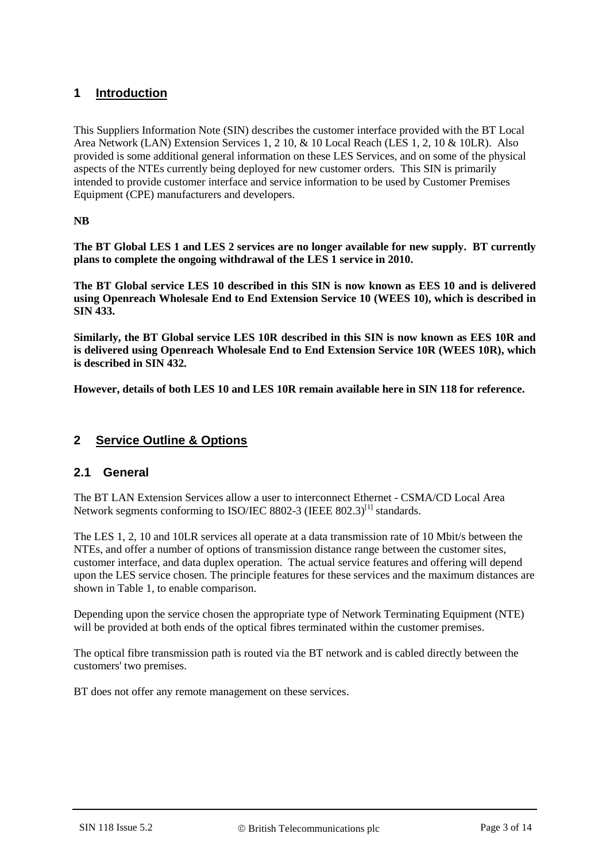# **1 Introduction**

This Suppliers Information Note (SIN) describes the customer interface provided with the BT Local Area Network (LAN) Extension Services 1, 2 10, & 10 Local Reach (LES 1, 2, 10 & 10LR). Also provided is some additional general information on these LES Services, and on some of the physical aspects of the NTEs currently being deployed for new customer orders. This SIN is primarily intended to provide customer interface and service information to be used by Customer Premises Equipment (CPE) manufacturers and developers.

**NB**

**The BT Global LES 1 and LES 2 services are no longer available for new supply. BT currently plans to complete the ongoing withdrawal of the LES 1 service in 2010.** 

**The BT Global service LES 10 described in this SIN is now known as EES 10 and is delivered using Openreach Wholesale End to End Extension Service 10 (WEES 10), which is described in SIN 433.** 

**Similarly, the BT Global service LES 10R described in this SIN is now known as EES 10R and is delivered using Openreach Wholesale End to End Extension Service 10R (WEES 10R), which is described in SIN 432.** 

**However, details of both LES 10 and LES 10R remain available here in SIN 118 for reference.**

#### **2 Service Outline & Options**

#### **2.1 General**

The BT LAN Extension Services allow a user to interconnect Ethernet - CSMA/CD Local Area Network segments conforming to ISO/IEC 8802-3 (IEEE 802.3)<sup>[\[1\]](#page-9-0)</sup> standards.

The LES 1, 2, 10 and 10LR services all operate at a data transmission rate of 10 Mbit/s between the NTEs, and offer a number of options of transmission distance range between the customer sites, customer interface, and data duplex operation. The actual service features and offering will depend upon the LES service chosen. The principle features for these services and the maximum distances are shown in [Table 1,](#page-3-0) to enable comparison.

Depending upon the service chosen the appropriate type of Network Terminating Equipment (NTE) will be provided at both ends of the optical fibres terminated within the customer premises.

The optical fibre transmission path is routed via the BT network and is cabled directly between the customers' two premises.

BT does not offer any remote management on these services.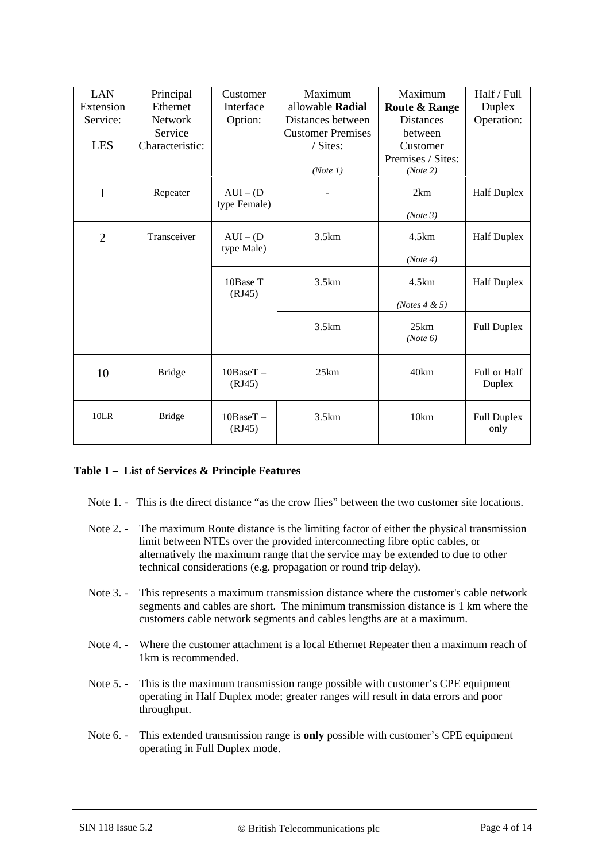| <b>LAN</b>     | Principal       | Customer                    | Maximum                  | Maximum                   | Half / Full                |
|----------------|-----------------|-----------------------------|--------------------------|---------------------------|----------------------------|
| Extension      | Ethernet        | Interface                   | allowable Radial         | <b>Route &amp; Range</b>  | Duplex                     |
| Service:       | Network         | Option:                     | Distances between        | <b>Distances</b>          | Operation:                 |
|                | Service         |                             | <b>Customer Premises</b> | between                   |                            |
| <b>LES</b>     | Characteristic: |                             | / Sites:                 | Customer                  |                            |
|                |                 |                             |                          | Premises / Sites:         |                            |
|                |                 |                             | (Note 1)                 | (Note 2)                  |                            |
| $\mathbf{1}$   | Repeater        | $AUI - (D)$<br>type Female) |                          | 2km                       | <b>Half Duplex</b>         |
|                |                 |                             |                          | (Note 3)                  |                            |
| $\overline{2}$ | Transceiver     | $AUI - (D)$<br>type Male)   | 3.5km                    | 4.5km                     | <b>Half Duplex</b>         |
|                |                 |                             |                          | (Note 4)                  |                            |
|                |                 | 10Base T<br>(RJ45)          | 3.5km                    | 4.5km                     | <b>Half Duplex</b>         |
|                |                 |                             |                          | ( <i>Notes</i> $4 \& 5$ ) |                            |
|                |                 |                             | 3.5km                    | 25km<br>(Note 6)          | <b>Full Duplex</b>         |
| 10             | <b>Bridge</b>   | 10BaseT-<br>(RJ45)          | 25km                     | 40km                      | Full or Half<br>Duplex     |
| 10LR           | <b>Bridge</b>   | $10BaseT -$<br>(RJ45)       | 3.5km                    | 10km                      | <b>Full Duplex</b><br>only |

#### <span id="page-3-0"></span>**Table 1 – List of Services & Principle Features**

- Note 1. This is the direct distance "as the crow flies" between the two customer site locations.
- Note 2. The maximum Route distance is the limiting factor of either the physical transmission limit between NTEs over the provided interconnecting fibre optic cables, or alternatively the maximum range that the service may be extended to due to other technical considerations (e.g. propagation or round trip delay).
- Note 3. This represents a maximum transmission distance where the customer's cable network segments and cables are short. The minimum transmission distance is 1 km where the customers cable network segments and cables lengths are at a maximum.
- Note 4. Where the customer attachment is a local Ethernet Repeater then a maximum reach of 1km is recommended.
- Note 5. This is the maximum transmission range possible with customer's CPE equipment operating in Half Duplex mode; greater ranges will result in data errors and poor throughput.
- Note 6. This extended transmission range is **only** possible with customer's CPE equipment operating in Full Duplex mode.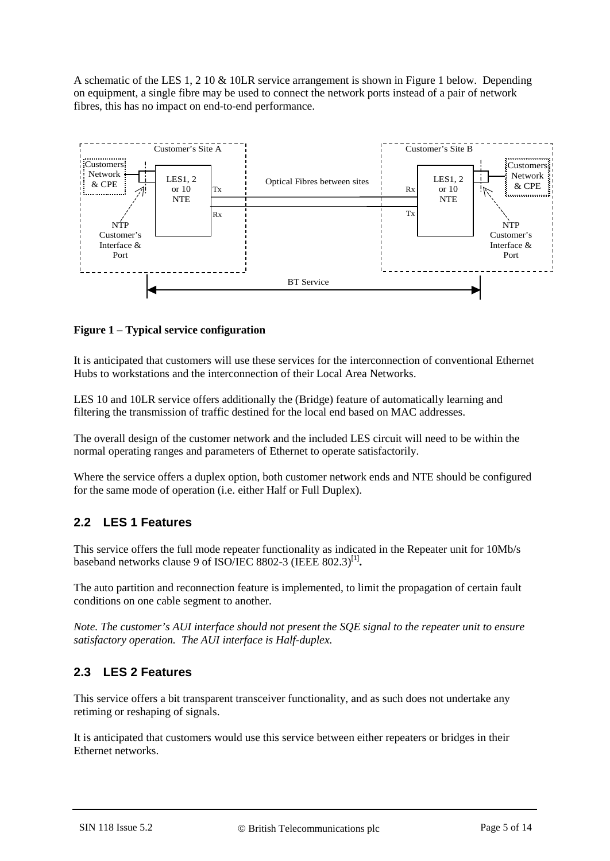A schematic of the LES 1, 2 10 & 10LR service arrangement is shown in [Figure 1](#page-4-0) below. Depending on equipment, a single fibre may be used to connect the network ports instead of a pair of network fibres, this has no impact on end-to-end performance.



#### <span id="page-4-0"></span>**Figure 1 – Typical service configuration**

It is anticipated that customers will use these services for the interconnection of conventional Ethernet Hubs to workstations and the interconnection of their Local Area Networks.

LES 10 and 10LR service offers additionally the (Bridge) feature of automatically learning and filtering the transmission of traffic destined for the local end based on MAC addresses.

The overall design of the customer network and the included LES circuit will need to be within the normal operating ranges and parameters of Ethernet to operate satisfactorily.

Where the service offers a duplex option, both customer network ends and NTE should be configured for the same mode of operation (i.e. either Half or Full Duplex).

# **2.2 LES 1 Features**

This service offers the full mode repeater functionality as indicated in the Repeater unit for 10Mb/s baseband networks clause 9 of ISO/IEC 8802-3 (IEEE 802.3)[\[1\]](#page-9-0)**.**

The auto partition and reconnection feature is implemented, to limit the propagation of certain fault conditions on one cable segment to another.

*Note. The customer's AUI interface should not present the SQE signal to the repeater unit to ensure satisfactory operation. The AUI interface is Half-duplex.*

# **2.3 LES 2 Features**

This service offers a bit transparent transceiver functionality, and as such does not undertake any retiming or reshaping of signals.

It is anticipated that customers would use this service between either repeaters or bridges in their Ethernet networks.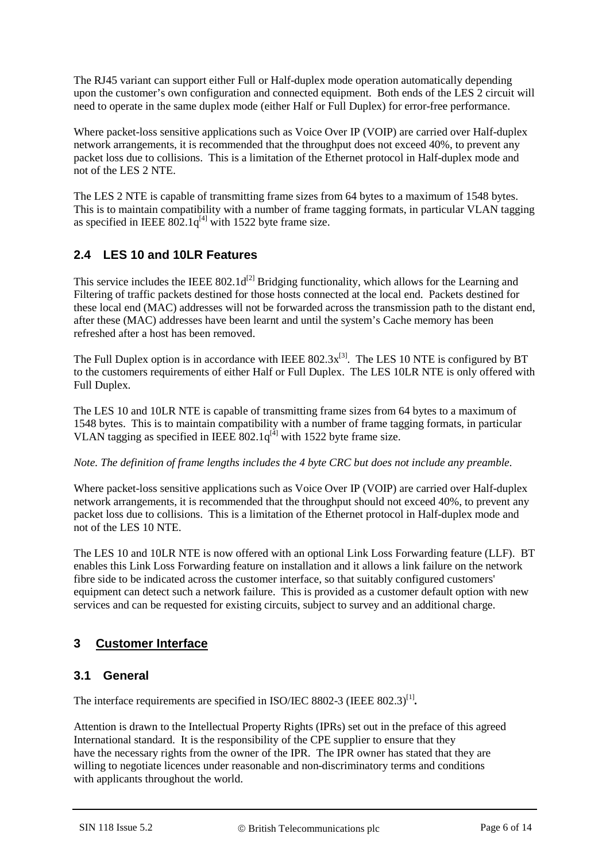The RJ45 variant can support either Full or Half-duplex mode operation automatically depending upon the customer's own configuration and connected equipment. Both ends of the LES 2 circuit will need to operate in the same duplex mode (either Half or Full Duplex) for error-free performance.

Where packet-loss sensitive applications such as Voice Over IP (VOIP) are carried over Half-duplex network arrangements, it is recommended that the throughput does not exceed 40%, to prevent any packet loss due to collisions. This is a limitation of the Ethernet protocol in Half-duplex mode and not of the LES 2 NTE.

The LES 2 NTE is capable of transmitting frame sizes from 64 bytes to a maximum of 1548 bytes. This is to maintain compatibility with a number of frame tagging formats, in particular VLAN tagging as specified in IEEE  $802.1q^{[4]}$  with 1522 byte frame size.

# **2.4 LES 10 and 10LR Features**

This service includes the IEEE  $802.1d^{[2]}$  Bridging functionality, which allows for the Learning and Filtering of traffic packets destined for those hosts connected at the local end. Packets destined for these local end (MAC) addresses will not be forwarded across the transmission path to the distant end, after these (MAC) addresses have been learnt and until the system's Cache memory has been refreshed after a host has been removed.

The Full Duplex option is in accordance with IEEE  $802.3x^{[3]}$ . The LES 10 NTE is configured by BT to the customers requirements of either Half or Full Duplex. The LES 10LR NTE is only offered with Full Duplex.

The LES 10 and 10LR NTE is capable of transmitting frame sizes from 64 bytes to a maximum of 1548 bytes. This is to maintain compatibility with a number of frame tagging formats, in particular VLAN tagging as specified in IEEE  $802.1q^{[4]}$  with 1522 byte frame size.

*Note. The definition of frame lengths includes the 4 byte CRC but does not include any preamble.*

Where packet-loss sensitive applications such as Voice Over IP (VOIP) are carried over Half-duplex network arrangements, it is recommended that the throughput should not exceed 40%, to prevent any packet loss due to collisions. This is a limitation of the Ethernet protocol in Half-duplex mode and not of the LES 10 NTE.

The LES 10 and 10LR NTE is now offered with an optional Link Loss Forwarding feature (LLF). BT enables this Link Loss Forwarding feature on installation and it allows a link failure on the network fibre side to be indicated across the customer interface, so that suitably configured customers' equipment can detect such a network failure. This is provided as a customer default option with new services and can be requested for existing circuits, subject to survey and an additional charge.

# **3 Customer Interface**

# **3.1 General**

The interface requirements are specified in ISO/IEC 8802-3 (IEEE 802.3)<sup>[\[1\]](#page-9-0)</sup>.

Attention is drawn to the Intellectual Property Rights (IPRs) set out in the preface of this agreed International standard. It is the responsibility of the CPE supplier to ensure that they have the necessary rights from the owner of the IPR. The IPR owner has stated that they are willing to negotiate licences under reasonable and non-discriminatory terms and conditions with applicants throughout the world.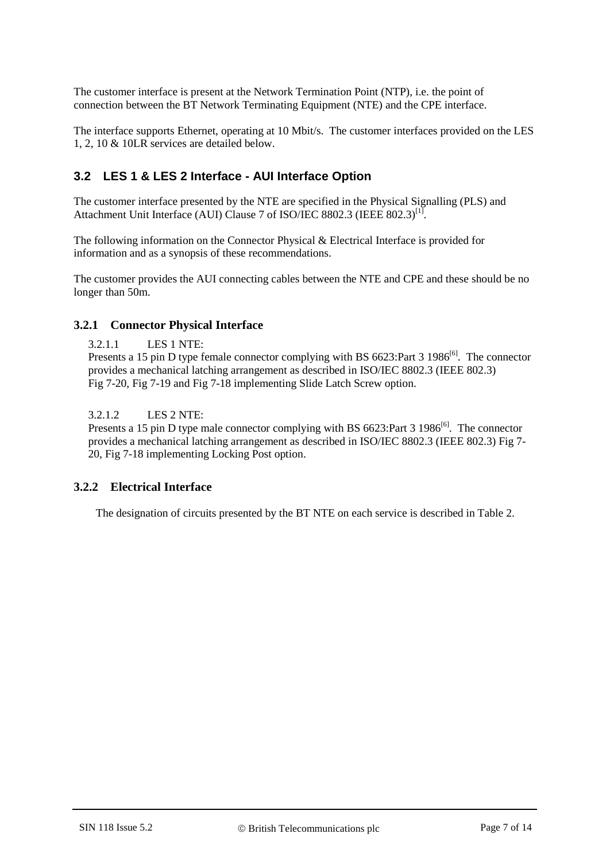The customer interface is present at the Network Termination Point (NTP), i.e. the point of connection between the BT Network Terminating Equipment (NTE) and the CPE interface.

The interface supports Ethernet, operating at 10 Mbit/s. The customer interfaces provided on the LES 1, 2, 10 & 10LR services are detailed below.

## **3.2 LES 1 & LES 2 Interface - AUI Interface Option**

The customer interface presented by the NTE are specified in the Physical Signalling (PLS) and Attachment Unit Interface (AUI) Clause 7 of ISO/IEC 8802.3 (IEEE 802.3)<sup>[1]</sup>.

The following information on the Connector Physical & Electrical Interface is provided for information and as a synopsis of these recommendations.

The customer provides the AUI connecting cables between the NTE and CPE and these should be no longer than 50m.

#### **3.2.1 Connector Physical Interface**

3.2.1.1 LES 1 NTE:

Presents a 15 pin D type female connector complying with BS  $6623$ :Part 3 1986<sup>[6]</sup>. The connector provides a mechanical latching arrangement as described in ISO/IEC 8802.3 (IEEE 802.3) Fig 7-20, Fig 7-19 and Fig 7-18 implementing Slide Latch Screw option.

3.2.1.2 LES 2 NTE:

Presents a 15 pin D type male connector complying with BS 6623:Part 3 1986<sup>[6]</sup>. The connector provides a mechanical latching arrangement as described in ISO/IEC 8802.3 (IEEE 802.3) Fig 7- 20, Fig 7-18 implementing Locking Post option.

#### **3.2.2 Electrical Interface**

The designation of circuits presented by the BT NTE on each service is described in [Table 2.](#page-7-0)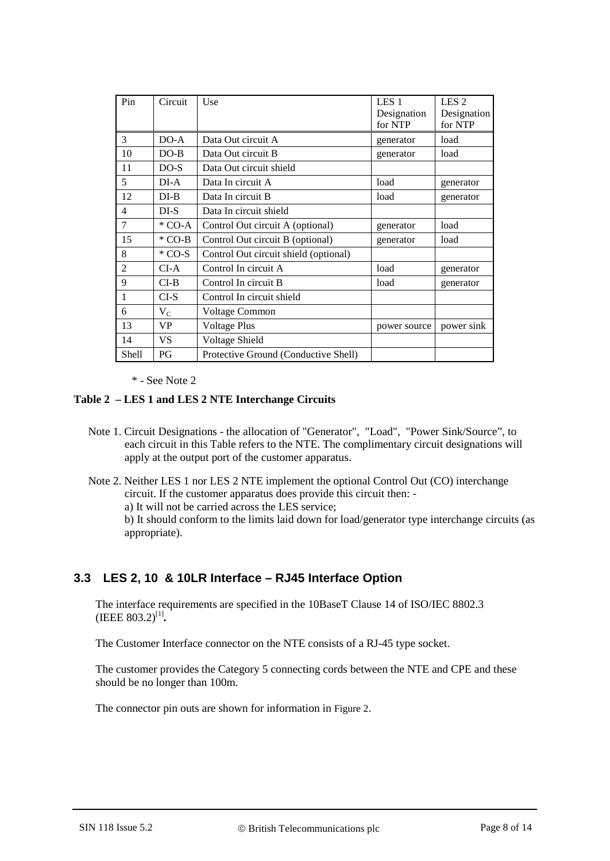| Pin            | Circuit   | Use                                   | LES <sub>1</sub><br>Designation<br>for NTP | LES <sub>2</sub><br>Designation<br>for NTP |
|----------------|-----------|---------------------------------------|--------------------------------------------|--------------------------------------------|
| 3              | $DO-A$    | Data Out circuit A                    | generator                                  | load                                       |
| 10             | $DO-B$    | Data Out circuit B                    | generator                                  | load                                       |
| 11             | $DO-S$    | Data Out circuit shield               |                                            |                                            |
| 5              | $DI-A$    | Data In circuit A                     | load                                       | generator                                  |
| 12             | $DI-B$    | Data In circuit B                     | load                                       | generator                                  |
| 4              | $DI-S$    | Data In circuit shield                |                                            |                                            |
| 7              | $*$ CO-A  | Control Out circuit A (optional)      | generator                                  | load                                       |
| 15             | $*$ CO-B  | Control Out circuit B (optional)      | generator                                  | load                                       |
| 8              | $*$ CO-S  | Control Out circuit shield (optional) |                                            |                                            |
| $\overline{2}$ | $CI-A$    | Control In circuit A                  | load                                       | generator                                  |
| 9              | $CI-B$    | Control In circuit B                  | load                                       | generator                                  |
| $\mathbf{1}$   | $CI-S$    | Control In circuit shield             |                                            |                                            |
| 6              | $\rm V_C$ | <b>Voltage Common</b>                 |                                            |                                            |
| 13             | VP        | <b>Voltage Plus</b>                   | power source                               | power sink                                 |
| 14             | VS        | Voltage Shield                        |                                            |                                            |
| <b>Shell</b>   | PG        | Protective Ground (Conductive Shell)  |                                            |                                            |

\* - See Note 2

#### <span id="page-7-0"></span>**Table 2 – LES 1 and LES 2 NTE Interchange Circuits**

- Note 1. Circuit Designations the allocation of "Generator", "Load", "Power Sink/Source", to each circuit in this Table refers to the NTE. The complimentary circuit designations will apply at the output port of the customer apparatus.
- Note 2. Neither LES 1 nor LES 2 NTE implement the optional Control Out (CO) interchange circuit. If the customer apparatus does provide this circuit then: a) It will not be carried across the LES service; b) It should conform to the limits laid down for load/generator type interchange circuits (as appropriate).

# **3.3 LES 2, 10 & 10LR Interface – RJ45 Interface Option**

The interface requirements are specified in the 10BaseT Clause 14 of ISO/IEC 8802.3 (IEEE 803.2)<sup>[\[1\]](#page-9-0)</sup>.

The Customer Interface connector on the NTE consists of a RJ-45 type socket.

The customer provides the Category 5 connecting cords between the NTE and CPE and these should be no longer than 100m.

The connector pin outs are shown for information in [Figure 2.](#page-8-0)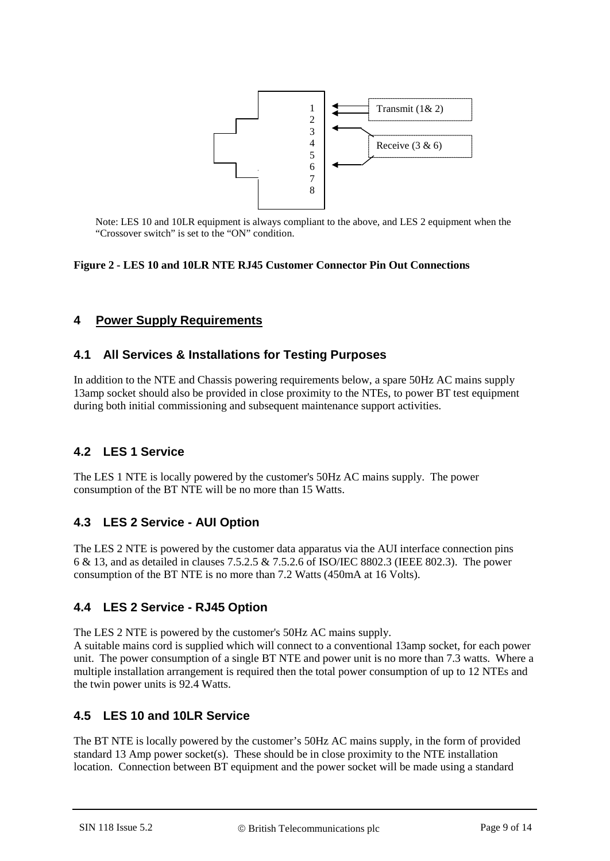

Note: LES 10 and 10LR equipment is always compliant to the above, and LES 2 equipment when the "Crossover switch" is set to the "ON" condition.

#### <span id="page-8-0"></span>**Figure 2 - LES 10 and 10LR NTE RJ45 Customer Connector Pin Out Connections**

### **4 Power Supply Requirements**

#### **4.1 All Services & Installations for Testing Purposes**

In addition to the NTE and Chassis powering requirements below, a spare 50Hz AC mains supply 13amp socket should also be provided in close proximity to the NTEs, to power BT test equipment during both initial commissioning and subsequent maintenance support activities.

#### **4.2 LES 1 Service**

The LES 1 NTE is locally powered by the customer's 50Hz AC mains supply. The power consumption of the BT NTE will be no more than 15 Watts.

#### **4.3 LES 2 Service - AUI Option**

The LES 2 NTE is powered by the customer data apparatus via the AUI interface connection pins 6 & 13, and as detailed in clauses 7.5.2.5 & 7.5.2.6 of ISO/IEC 8802.3 (IEEE 802.3). The power consumption of the BT NTE is no more than 7.2 Watts (450mA at 16 Volts).

#### **4.4 LES 2 Service - RJ45 Option**

The LES 2 NTE is powered by the customer's 50Hz AC mains supply.

A suitable mains cord is supplied which will connect to a conventional 13amp socket, for each power unit. The power consumption of a single BT NTE and power unit is no more than 7.3 watts. Where a multiple installation arrangement is required then the total power consumption of up to 12 NTEs and the twin power units is 92.4 Watts.

#### **4.5 LES 10 and 10LR Service**

The BT NTE is locally powered by the customer's 50Hz AC mains supply, in the form of provided standard 13 Amp power socket(s). These should be in close proximity to the NTE installation location. Connection between BT equipment and the power socket will be made using a standard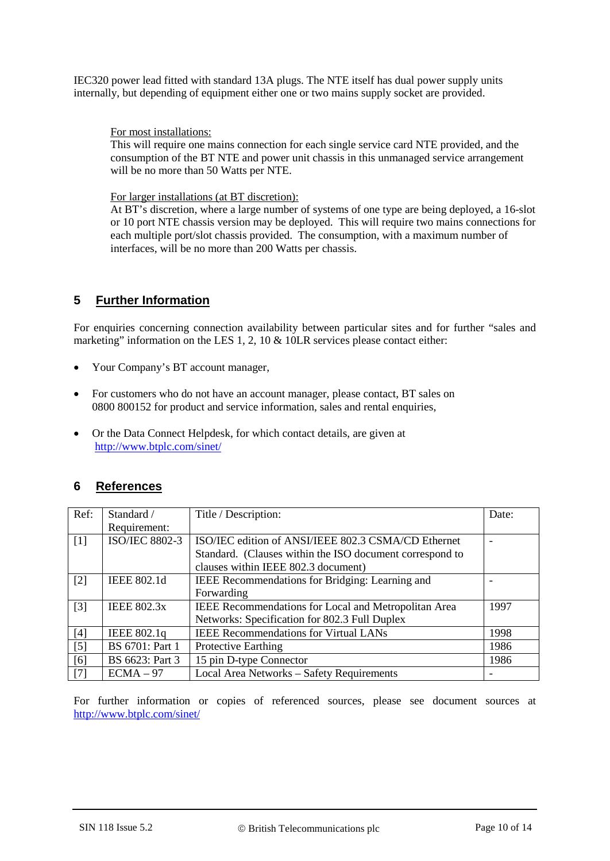IEC320 power lead fitted with standard 13A plugs. The NTE itself has dual power supply units internally, but depending of equipment either one or two mains supply socket are provided.

For most installations:

This will require one mains connection for each single service card NTE provided, and the consumption of the BT NTE and power unit chassis in this unmanaged service arrangement will be no more than 50 Watts per NTE.

For larger installations (at BT discretion):

At BT's discretion, where a large number of systems of one type are being deployed, a 16-slot or 10 port NTE chassis version may be deployed. This will require two mains connections for each multiple port/slot chassis provided. The consumption, with a maximum number of interfaces, will be no more than 200 Watts per chassis.

# **5 Further Information**

For enquiries concerning connection availability between particular sites and for further "sales and marketing" information on the LES 1, 2, 10 & 10LR services please contact either:

- Your Company's BT account manager,
- For customers who do not have an account manager, please contact, BT sales on 0800 800152 for product and service information, sales and rental enquiries,
- Or the Data Connect Helpdesk, for which contact details, are given at <http://www.btplc.com/sinet/>

# **6 References**

<span id="page-9-3"></span><span id="page-9-2"></span><span id="page-9-0"></span>

| Ref:  | Standard /            | Title / Description:                                     | Date: |
|-------|-----------------------|----------------------------------------------------------|-------|
|       | Requirement:          |                                                          |       |
| $[1]$ | <b>ISO/IEC 8802-3</b> | ISO/IEC edition of ANSI/IEEE 802.3 CSMA/CD Ethernet      |       |
|       |                       | Standard. (Clauses within the ISO document correspond to |       |
|       |                       | clauses within IEEE 802.3 document)                      |       |
| $[2]$ | <b>IEEE 802.1d</b>    | IEEE Recommendations for Bridging: Learning and          |       |
|       |                       | Forwarding                                               |       |
| $[3]$ | <b>IEEE 802.3x</b>    | IEEE Recommendations for Local and Metropolitan Area     | 1997  |
|       |                       | Networks: Specification for 802.3 Full Duplex            |       |
| [4]   | IEEE 802.1q           | <b>IEEE Recommendations for Virtual LANs</b>             | 1998  |
| $[5]$ | BS 6701: Part 1       | <b>Protective Earthing</b>                               | 1986  |
| [6]   | BS 6623: Part 3       | 15 pin D-type Connector                                  | 1986  |
| [7]   | $ECMA - 97$           | Local Area Networks - Safety Requirements                |       |

<span id="page-9-6"></span><span id="page-9-5"></span><span id="page-9-4"></span><span id="page-9-1"></span>For further information or copies of referenced sources, please see document sources at <http://www.btplc.com/sinet/>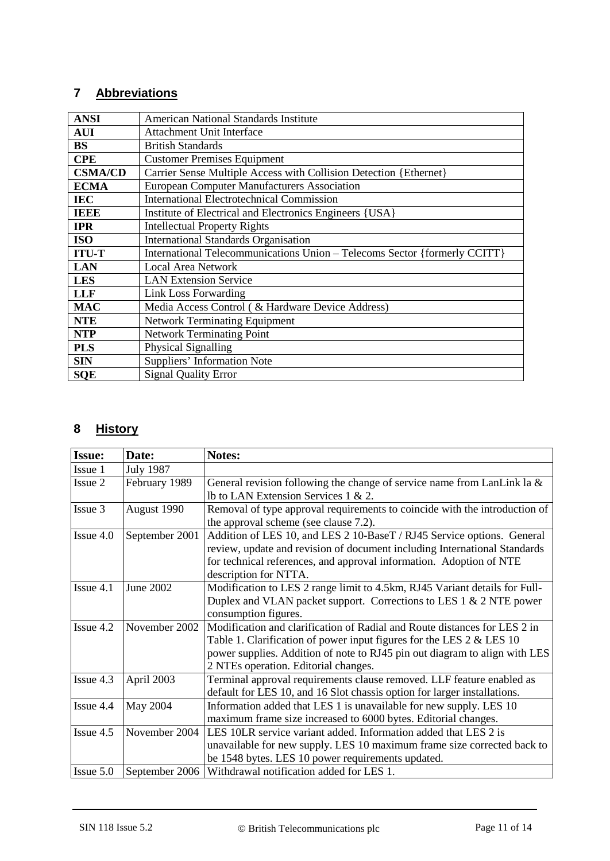# **7 Abbreviations**

| <b>ANSI</b>    | American National Standards Institute                                     |  |  |
|----------------|---------------------------------------------------------------------------|--|--|
| <b>AUI</b>     | <b>Attachment Unit Interface</b>                                          |  |  |
| <b>BS</b>      | <b>British Standards</b>                                                  |  |  |
| <b>CPE</b>     | <b>Customer Premises Equipment</b>                                        |  |  |
| <b>CSMA/CD</b> | Carrier Sense Multiple Access with Collision Detection {Ethernet}         |  |  |
| <b>ECMA</b>    | <b>European Computer Manufacturers Association</b>                        |  |  |
| <b>IEC</b>     | <b>International Electrotechnical Commission</b>                          |  |  |
| <b>IEEE</b>    | Institute of Electrical and Electronics Engineers {USA}                   |  |  |
| <b>IPR</b>     | <b>Intellectual Property Rights</b>                                       |  |  |
| <b>ISO</b>     | <b>International Standards Organisation</b>                               |  |  |
| <b>ITU-T</b>   | International Telecommunications Union - Telecoms Sector {formerly CCITT} |  |  |
| <b>LAN</b>     | <b>Local Area Network</b>                                                 |  |  |
| <b>LES</b>     | <b>LAN Extension Service</b>                                              |  |  |
| <b>LLF</b>     | Link Loss Forwarding                                                      |  |  |
| <b>MAC</b>     | Media Access Control ( & Hardware Device Address)                         |  |  |
| <b>NTE</b>     | <b>Network Terminating Equipment</b>                                      |  |  |
| <b>NTP</b>     | <b>Network Terminating Point</b>                                          |  |  |
| <b>PLS</b>     | Physical Signalling                                                       |  |  |
| <b>SIN</b>     | <b>Suppliers' Information Note</b>                                        |  |  |
| <b>SQE</b>     | <b>Signal Quality Error</b>                                               |  |  |

# **8 History**

| <b>Issue:</b> | Date:            | Notes:                                                                     |
|---------------|------------------|----------------------------------------------------------------------------|
| Issue 1       | <b>July 1987</b> |                                                                            |
| Issue 2       | February 1989    | General revision following the change of service name from LanLink la $\&$ |
|               |                  | Ib to LAN Extension Services $1 \& 2$ .                                    |
| Issue 3       | August 1990      | Removal of type approval requirements to coincide with the introduction of |
|               |                  | the approval scheme (see clause 7.2).                                      |
| Issue 4.0     | September 2001   | Addition of LES 10, and LES 2 10-BaseT / RJ45 Service options. General     |
|               |                  | review, update and revision of document including International Standards  |
|               |                  | for technical references, and approval information. Adoption of NTE        |
|               |                  | description for NTTA.                                                      |
| Issue 4.1     | <b>June 2002</b> | Modification to LES 2 range limit to 4.5km, RJ45 Variant details for Full- |
|               |                  | Duplex and VLAN packet support. Corrections to LES $1 \& 2$ NTE power      |
|               |                  | consumption figures.                                                       |
| Issue 4.2     | November 2002    | Modification and clarification of Radial and Route distances for LES 2 in  |
|               |                  | Table 1. Clarification of power input figures for the LES $2 <$ LES 10     |
|               |                  | power supplies. Addition of note to RJ45 pin out diagram to align with LES |
|               |                  | 2 NTEs operation. Editorial changes.                                       |
| Issue 4.3     | April 2003       | Terminal approval requirements clause removed. LLF feature enabled as      |
|               |                  | default for LES 10, and 16 Slot chassis option for larger installations.   |
| Issue 4.4     | May 2004         | Information added that LES 1 is unavailable for new supply. LES 10         |
|               |                  | maximum frame size increased to 6000 bytes. Editorial changes.             |
| Issue 4.5     | November 2004    | LES 10LR service variant added. Information added that LES 2 is            |
|               |                  | unavailable for new supply. LES 10 maximum frame size corrected back to    |
|               |                  | be 1548 bytes. LES 10 power requirements updated.                          |
| Issue 5.0     | September 2006   | Withdrawal notification added for LES 1.                                   |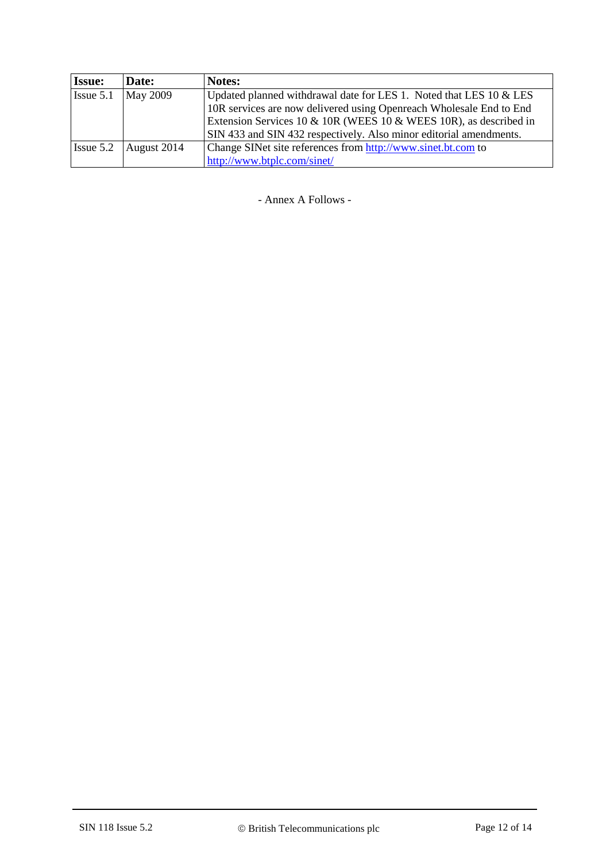| <b>Issue:</b> | Date:           | <b>Notes:</b>                                                       |  |
|---------------|-----------------|---------------------------------------------------------------------|--|
| Issue 5.1     | <b>May 2009</b> | Updated planned withdrawal date for LES 1. Noted that LES 10 & LES  |  |
|               |                 | 10R services are now delivered using Openreach Wholesale End to End |  |
|               |                 | Extension Services 10 & 10R (WEES 10 & WEES 10R), as described in   |  |
|               |                 | SIN 433 and SIN 432 respectively. Also minor editorial amendments.  |  |
| Issue 5.2     | August 2014     | Change SINet site references from http://www.sinet.bt.com to        |  |
|               |                 | http://www.btplc.com/sinet/                                         |  |

- Annex A Follows -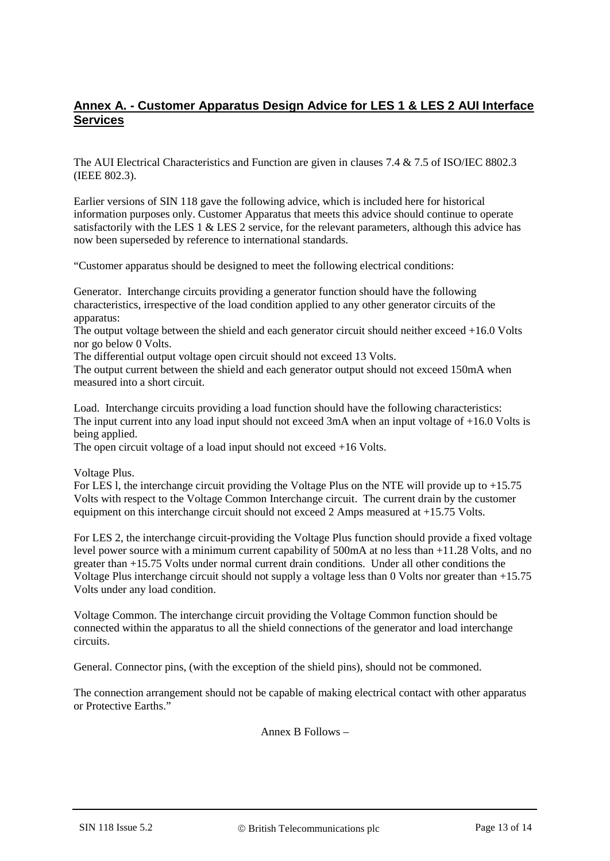### **Annex A. - Customer Apparatus Design Advice for LES 1 & LES 2 AUI Interface Services**

The AUI Electrical Characteristics and Function are given in clauses 7.4 & 7.5 of ISO/IEC 8802.3 (IEEE 802.3).

Earlier versions of SIN 118 gave the following advice, which is included here for historical information purposes only. Customer Apparatus that meets this advice should continue to operate satisfactorily with the LES 1 & LES 2 service, for the relevant parameters, although this advice has now been superseded by reference to international standards.

"Customer apparatus should be designed to meet the following electrical conditions:

Generator. Interchange circuits providing a generator function should have the following characteristics, irrespective of the load condition applied to any other generator circuits of the apparatus:

The output voltage between the shield and each generator circuit should neither exceed +16.0 Volts nor go below 0 Volts.

The differential output voltage open circuit should not exceed 13 Volts.

The output current between the shield and each generator output should not exceed 150mA when measured into a short circuit.

Load. Interchange circuits providing a load function should have the following characteristics: The input current into any load input should not exceed 3mA when an input voltage of +16.0 Volts is being applied.

The open circuit voltage of a load input should not exceed +16 Volts.

Voltage Plus.

For LES l, the interchange circuit providing the Voltage Plus on the NTE will provide up to +15.75 Volts with respect to the Voltage Common Interchange circuit. The current drain by the customer equipment on this interchange circuit should not exceed 2 Amps measured at +15.75 Volts.

For LES 2, the interchange circuit-providing the Voltage Plus function should provide a fixed voltage level power source with a minimum current capability of 500mA at no less than +11.28 Volts, and no greater than +15.75 Volts under normal current drain conditions. Under all other conditions the Voltage Plus interchange circuit should not supply a voltage less than 0 Volts nor greater than +15.75 Volts under any load condition.

Voltage Common. The interchange circuit providing the Voltage Common function should be connected within the apparatus to all the shield connections of the generator and load interchange circuits.

General. Connector pins, (with the exception of the shield pins), should not be commoned.

The connection arrangement should not be capable of making electrical contact with other apparatus or Protective Earths."

Annex B Follows –